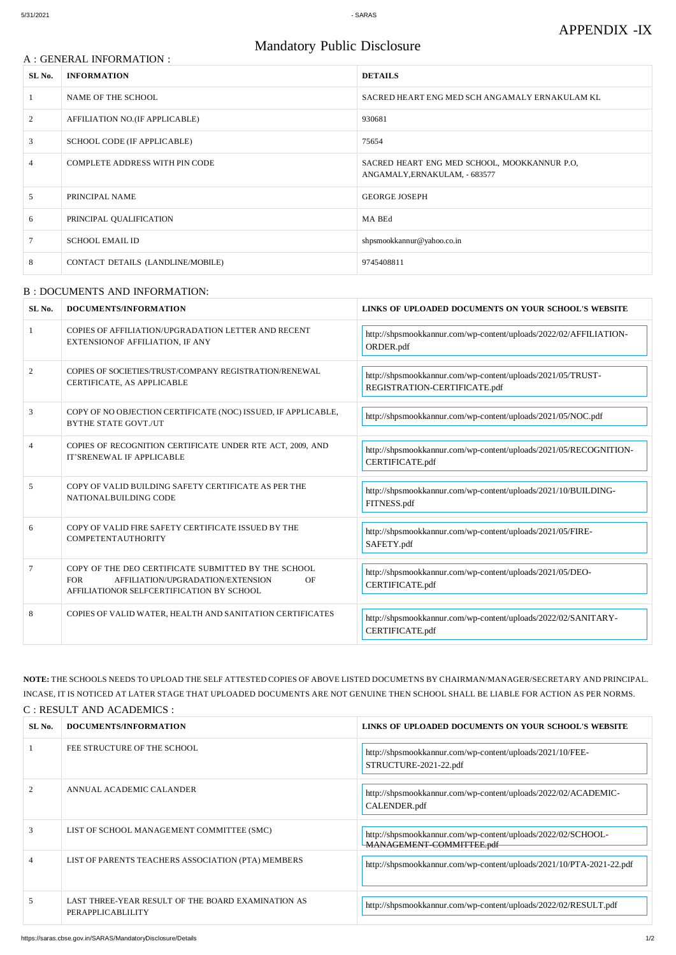#### A : GENERAL INFORMATION :

# Mandatory Public Disclosure

| SL No. | <b>INFORMATION</b>                 | <b>DETAILS</b>                                                                |
|--------|------------------------------------|-------------------------------------------------------------------------------|
|        | NAME OF THE SCHOOL                 | SACRED HEART ENG MED SCH ANGAMALY ERNAKULAM KL                                |
| 2      | AFFILIATION NO.(IF APPLICABLE)     | 930681                                                                        |
| 3      | <b>SCHOOL CODE (IF APPLICABLE)</b> | 75654                                                                         |
| 4      | COMPLETE ADDRESS WITH PIN CODE     | SACRED HEART ENG MED SCHOOL, MOOKKANNUR P.O.<br>ANGAMALY, ERNAKULAM, - 683577 |
| 5      | PRINCIPAL NAME                     | <b>GEORGE JOSEPH</b>                                                          |
| 6      | PRINCIPAL QUALIFICATION            | MA BEd                                                                        |
|        | <b>SCHOOL EMAIL ID</b>             | shpsmookkannur@yahoo.co.in                                                    |
| 8      | CONTACT DETAILS (LANDLINE/MOBILE)  | 9745408811                                                                    |

#### B : DOCUMENTS AND INFORMATION:

| SL No.         | DOCUMENTS/INFORMATION                                                                                                                                     | LINKS OF UPLOADED DOCUMENTS ON YOUR SCHOOL'S WEBSITE                                        |
|----------------|-----------------------------------------------------------------------------------------------------------------------------------------------------------|---------------------------------------------------------------------------------------------|
|                | COPIES OF AFFILIATION/UPGRADATION LETTER AND RECENT<br>EXTENSIONOF AFFILIATION, IF ANY                                                                    | http://shpsmookkannur.com/wp-content/uploads/2022/02/AFFILIATION-<br>ORDER.pdf              |
| $\overline{2}$ | COPIES OF SOCIETIES/TRUST/COMPANY REGISTRATION/RENEWAL<br>CERTIFICATE, AS APPLICABLE                                                                      | http://shpsmookkannur.com/wp-content/uploads/2021/05/TRUST-<br>REGISTRATION-CERTIFICATE.pdf |
| 3              | COPY OF NO OBJECTION CERTIFICATE (NOC) ISSUED, IF APPLICABLE,<br><b>BYTHE STATE GOVT./UT</b>                                                              | http://shpsmookkannur.com/wp-content/uploads/2021/05/NOC.pdf                                |
| 4              | COPIES OF RECOGNITION CERTIFICATE UNDER RTE ACT, 2009, AND<br>IT'SRENEWAL IF APPLICABLE                                                                   | http://shpsmookkannur.com/wp-content/uploads/2021/05/RECOGNITION-<br>CERTIFICATE.pdf        |
| 5              | COPY OF VALID BUILDING SAFETY CERTIFICATE AS PER THE<br>NATIONALBUILDING CODE                                                                             | http://shpsmookkannur.com/wp-content/uploads/2021/10/BUILDING-<br>FITNESS.pdf               |
| 6              | COPY OF VALID FIRE SAFETY CERTIFICATE ISSUED BY THE<br><b>COMPETENTAUTHORITY</b>                                                                          | http://shpsmookkannur.com/wp-content/uploads/2021/05/FIRE-<br>SAFETY.pdf                    |
| $\tau$         | COPY OF THE DEO CERTIFICATE SUBMITTED BY THE SCHOOL<br><b>FOR</b><br>AFFILIATION/UPGRADATION/EXTENSION<br>OF<br>AFFILIATIONOR SELFCERTIFICATION BY SCHOOL | http://shpsmookkannur.com/wp-content/uploads/2021/05/DEO-<br>CERTIFICATE.pdf                |
| 8              | COPIES OF VALID WATER, HEALTH AND SANITATION CERTIFICATES                                                                                                 | http://shpsmookkannur.com/wp-content/uploads/2022/02/SANITARY-<br>CERTIFICATE.pdf           |

**NOTE:** THE SCHOOLS NEEDS TO UPLOAD THE SELF ATTESTED COPIES OF ABOVE LISTED DOCUMETNS BY CHAIRMAN/MANAGER/SECRETARY AND PRINCIPAL. INCASE, IT IS NOTICED AT LATER STAGE THAT UPLOADED DOCUMENTS ARE NOT GENUINE THEN SCHOOL SHALL BE LIABLE FOR ACTION AS PER NORMS. C : RESULT AND ACADEMICS :

| SL No. | DOCUMENTS/INFORMATION                                                   | LINKS OF UPLOADED DOCUMENTS ON YOUR SCHOOL'S WEBSITE                                     |
|--------|-------------------------------------------------------------------------|------------------------------------------------------------------------------------------|
|        | FEE STRUCTURE OF THE SCHOOL                                             | http://shpsmookkannur.com/wp-content/uploads/2021/10/FEE-<br>STRUCTURE-2021-22.pdf       |
|        | ANNUAL ACADEMIC CALANDER                                                | http://shpsmookkannur.com/wp-content/uploads/2022/02/ACADEMIC-<br>CALENDER.pdf           |
|        | LIST OF SCHOOL MANAGEMENT COMMITTEE (SMC)                               | http://shpsmookkannur.com/wp-content/uploads/2022/02/SCHOOL-<br>MANAGEMENT-COMMITTEE.pdf |
|        | LIST OF PARENTS TEACHERS ASSOCIATION (PTA) MEMBERS                      | http://shpsmookkannur.com/wp-content/uploads/2021/10/PTA-2021-22.pdf                     |
|        | LAST THREE-YEAR RESULT OF THE BOARD EXAMINATION AS<br>PERAPPLICABLILITY | http://shpsmookkannur.com/wp-content/uploads/2022/02/RESULT.pdf                          |